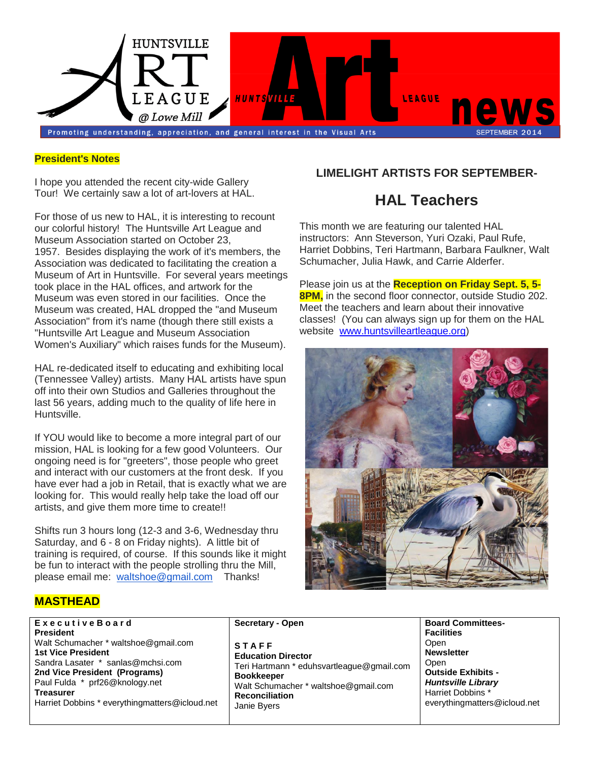

#### **President's Notes**

I hope you attended the recent city-wide Gallery Tour! We certainly saw a lot of art-lovers at HAL.

For those of us new to HAL, it is interesting to recount our colorful history! The Huntsville Art League and Museum Association started on October 23, 1957. Besides displaying the work of it's members, the Association was dedicated to facilitating the creation a Museum of Art in Huntsville. For several years meetings took place in the HAL offices, and artwork for the Museum was even stored in our facilities. Once the Museum was created, HAL dropped the "and Museum Association" from it's name (though there still exists a "Huntsville Art League and Museum Association Women's Auxiliary" which raises funds for the Museum).

HAL re-dedicated itself to educating and exhibiting local (Tennessee Valley) artists. Many HAL artists have spun off into their own Studios and Galleries throughout the last 56 years, adding much to the quality of life here in Huntsville.

If YOU would like to become a more integral part of our mission, HAL is looking for a few good Volunteers. Our ongoing need is for "greeters", those people who greet and interact with our customers at the front desk. If you have ever had a job in Retail, that is exactly what we are looking for. This would really help take the load off our artists, and give them more time to create!!

Shifts run 3 hours long (12-3 and 3-6, Wednesday thru Saturday, and 6 - 8 on Friday nights). A little bit of training is required, of course. If this sounds like it might be fun to interact with the people strolling thru the Mill, please email me: waltshoe@gmail.com Thanks!

## **LIMELIGHT ARTISTS FOR SEPTEMBER-**

# **HAL Teachers**

This month we are featuring our talented HAL instructors: Ann Steverson, Yuri Ozaki, Paul Rufe, Harriet Dobbins, Teri Hartmann, Barbara Faulkner, Walt Schumacher, Julia Hawk, and Carrie Alderfer.

Please join us at the **Reception on Friday Sept. 5, 5- 8PM**, in the second floor connector, outside Studio 202. Meet the teachers and learn about their innovative classes! (You can always sign up for them on the HAL website [www.huntsvilleartleague.org\)](http://www.huntsvilleartleague.org/)



## **MASTHEAD**

**E x e c u t i v e B o a r d President** Walt Schumacher \* waltshoe@gmail.com **1st Vice President** Sandra Lasater \* sanlas@mchsi.com **2nd Vice President (Programs)** Paul Fulda \* prf26@knology.net **Treasurer** Harriet Dobbins \* everythingmatters@icloud.net

**Secretary - Open**

- **S T A F F Education Director** Teri Hartmann \* eduhsvartleague@gmail.com **Bookkeeper** Walt Schumacher \* waltshoe@gmail.com **Reconciliation** Janie Byers
- **Board Committees-Facilities Open Newsletter Open Outside Exhibits -** *Huntsville Library* Harriet Dobbins \* everythingmatters@icloud.net